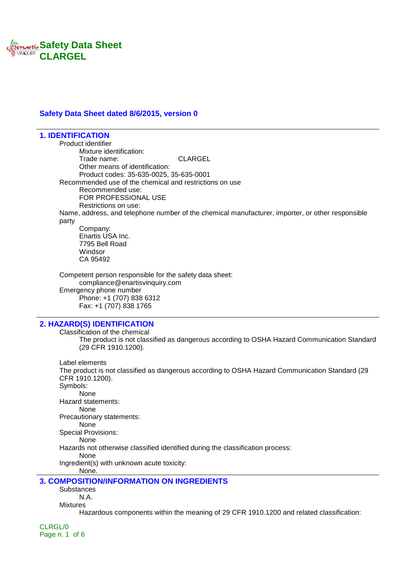

### **Safety Data Sheet dated 8/6/2015, version 0**

**1. IDENTIFICATION** Product identifier Mixture identification: Trade name: CLARGEL Other means of identification: Product codes: 35-635-0025, 35-635-0001 Recommended use of the chemical and restrictions on use Recommended use: FOR PROFESSIONAL USE Restrictions on use: Name, address, and telephone number of the chemical manufacturer, importer, or other responsible party Company: Enartis USA Inc. 7795 Bell Road Windsor CA 95492 Competent person responsible for the safety data sheet: compliance@enartisvinquiry.com Emergency phone number Phone: +1 (707) 838 6312 Fax: +1 (707) 838 1765 **2. HAZARD(S) IDENTIFICATION** Classification of the chemical The product is not classified as dangerous according to OSHA Hazard Communication Standard (29 CFR 1910.1200). Label elements The product is not classified as dangerous according to OSHA Hazard Communication Standard (29 CFR 1910.1200). Symbols:

None

Hazard statements:

None

Precautionary statements:

None Special Provisions:

None

Hazards not otherwise classified identified during the classification process:

None Ingredient(s) with unknown acute toxicity:

None.

### **3. COMPOSITION/INFORMATION ON INGREDIENTS**

**Substances** 

N.A.

Mixtures

Hazardous components within the meaning of 29 CFR 1910.1200 and related classification:

CLRGL/0 Page n. 1 of 6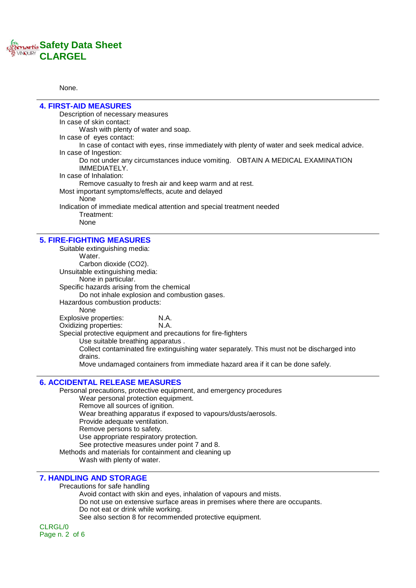

None.

| <b>4. FIRST-AID MEASURES</b>                       |                                                                                               |
|----------------------------------------------------|-----------------------------------------------------------------------------------------------|
| Description of necessary measures                  |                                                                                               |
| In case of skin contact:                           |                                                                                               |
| Wash with plenty of water and soap.                |                                                                                               |
| In case of eyes contact:                           |                                                                                               |
|                                                    | In case of contact with eyes, rinse immediately with plenty of water and seek medical advice. |
| In case of Ingestion:                              |                                                                                               |
|                                                    | Do not under any circumstances induce vomiting.  OBTAIN A MEDICAL EXAMINATION                 |
| IMMEDIATELY.                                       |                                                                                               |
| In case of Inhalation:                             |                                                                                               |
|                                                    | Remove casualty to fresh air and keep warm and at rest.                                       |
| Most important symptoms/effects, acute and delayed |                                                                                               |
| None                                               |                                                                                               |
|                                                    | Indication of immediate medical attention and special treatment needed                        |
| Treatment:                                         |                                                                                               |
| None                                               |                                                                                               |
| <b>5. FIRE-FIGHTING MEASURES</b>                   |                                                                                               |
| Suitable extinguishing media:                      |                                                                                               |
| Water.                                             |                                                                                               |
| Carbon dioxide (CO2).                              |                                                                                               |
| Unsuitable extinguishing media:                    |                                                                                               |
| None in particular.                                |                                                                                               |
| Specific hazards arising from the chemical         |                                                                                               |
| Do not inhale explosion and combustion gases.      |                                                                                               |
| Hazardous combustion products:                     |                                                                                               |
| <b>None</b>                                        |                                                                                               |
| Explosive properties:                              | N.A.                                                                                          |
| Oxidizing properties:                              | N.A.                                                                                          |

Special protective equipment and precautions for fire-fighters

Use suitable breathing apparatus .

Collect contaminated fire extinguishing water separately. This must not be discharged into drains.

Move undamaged containers from immediate hazard area if it can be done safely.

## **6. ACCIDENTAL RELEASE MEASURES**

Personal precautions, protective equipment, and emergency procedures Wear personal protection equipment. Remove all sources of ignition. Wear breathing apparatus if exposed to vapours/dusts/aerosols. Provide adequate ventilation. Remove persons to safety. Use appropriate respiratory protection. See protective measures under point 7 and 8. Methods and materials for containment and cleaning up Wash with plenty of water.

# **7. HANDLING AND STORAGE**

Precautions for safe handling

Avoid contact with skin and eyes, inhalation of vapours and mists. Do not use on extensive surface areas in premises where there are occupants. Do not eat or drink while working. See also section 8 for recommended protective equipment.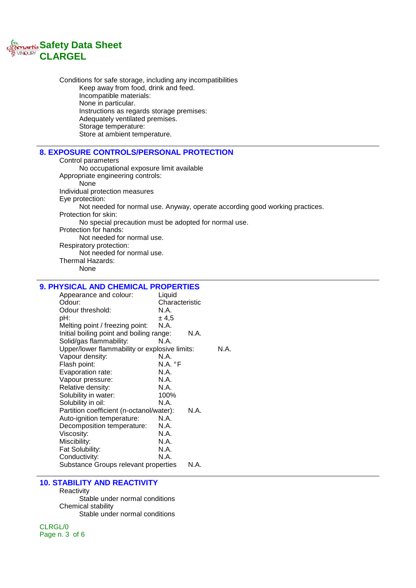

Conditions for safe storage, including any incompatibilities Keep away from food, drink and feed. Incompatible materials: None in particular. Instructions as regards storage premises: Adequately ventilated premises. Storage temperature: Store at ambient temperature.

## **8. EXPOSURE CONTROLS/PERSONAL PROTECTION**

Control parameters No occupational exposure limit available Appropriate engineering controls: None Individual protection measures Eye protection: Not needed for normal use. Anyway, operate according good working practices. Protection for skin: No special precaution must be adopted for normal use. Protection for hands: Not needed for normal use. Respiratory protection: Not needed for normal use. Thermal Hazards: None

# **9. PHYSICAL AND CHEMICAL PROPERTIES**

| Appearance and colour:<br>Liquid              |                |      |  |
|-----------------------------------------------|----------------|------|--|
| Odour:                                        | Characteristic |      |  |
| Odour threshold:                              | N.A.           |      |  |
| pH:                                           | ± 4.5          |      |  |
| Melting point / freezing point:               | N.A.           |      |  |
| Initial boiling point and boiling range:      |                | N.A. |  |
| Solid/gas flammability:                       | N.A.           |      |  |
| Upper/lower flammability or explosive limits: |                | N.A. |  |
| Vapour density:                               | N.A.           |      |  |
| Flash point:                                  | N.A. °F        |      |  |
| Evaporation rate:                             | N.A.           |      |  |
| Vapour pressure:                              | N.A.           |      |  |
| Relative density:                             | N.A.           |      |  |
| Solubility in water:                          | 100%           |      |  |
| Solubility in oil:                            | N.A.           |      |  |
| Partition coefficient (n-octanol/water):      |                | N.A. |  |
| Auto-ignition temperature:                    | N.A.           |      |  |
| Decomposition temperature:                    | N.A.           |      |  |
| Viscosity:                                    | N.A.           |      |  |
| Miscibility:                                  | N.A.           |      |  |
| Fat Solubility:                               | N.A.           |      |  |
| Conductivity:                                 | N.A.           |      |  |
| Substance Groups relevant properties          |                | N.A. |  |

#### **10. STABILITY AND REACTIVITY**

**Reactivity** Stable under normal conditions Chemical stability Stable under normal conditions

CLRGL/0 Page n. 3 of 6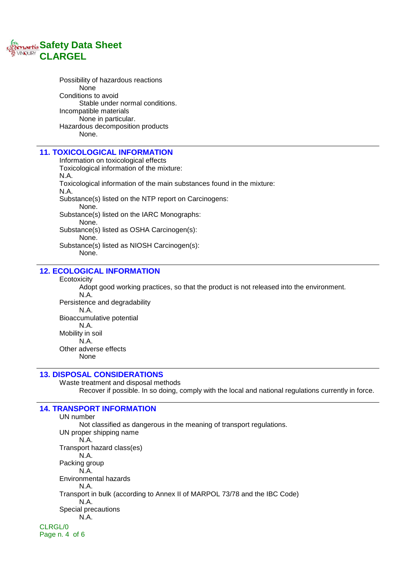

Possibility of hazardous reactions None Conditions to avoid Stable under normal conditions. Incompatible materials None in particular. Hazardous decomposition products None.

### **11. TOXICOLOGICAL INFORMATION**

Information on toxicological effects Toxicological information of the mixture: N.A. Toxicological information of the main substances found in the mixture: N.A. Substance(s) listed on the NTP report on Carcinogens: None. Substance(s) listed on the IARC Monographs: None. Substance(s) listed as OSHA Carcinogen(s): None. Substance(s) listed as NIOSH Carcinogen(s): None.

# **12. ECOLOGICAL INFORMATION**

#### **Ecotoxicity**

Adopt good working practices, so that the product is not released into the environment.

N.A. Persistence and degradability N.A. Bioaccumulative potential N.A. Mobility in soil N.A. Other adverse effects None

### **13. DISPOSAL CONSIDERATIONS**

Waste treatment and disposal methods Recover if possible. In so doing, comply with the local and national regulations currently in force.

# **14. TRANSPORT INFORMATION**

UN number Not classified as dangerous in the meaning of transport regulations. UN proper shipping name N.A. Transport hazard class(es) N.A. Packing group N.A. Environmental hazards N.A. Transport in bulk (according to Annex II of MARPOL 73/78 and the IBC Code) N.A. Special precautions N.A. CLRGL/0 Page n. 4 of 6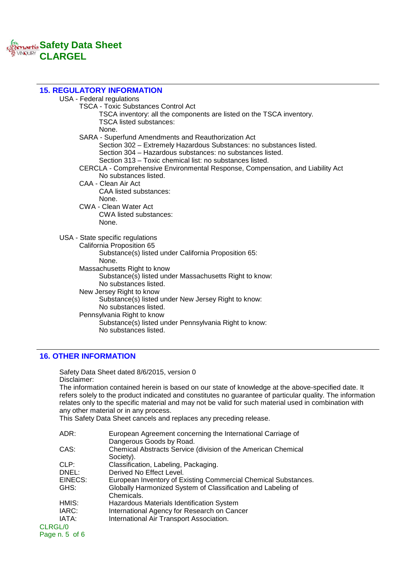# **Safety Data Sheet CLARGEL**

| <b>15. REGULATORY INFORMATION</b>                                              |
|--------------------------------------------------------------------------------|
| USA - Federal regulations                                                      |
| <b>TSCA - Toxic Substances Control Act</b>                                     |
| TSCA inventory: all the components are listed on the TSCA inventory.           |
| <b>TSCA listed substances:</b>                                                 |
| None.                                                                          |
| SARA - Superfund Amendments and Reauthorization Act                            |
| Section 302 – Extremely Hazardous Substances: no substances listed.            |
| Section 304 - Hazardous substances: no substances listed.                      |
| Section 313 – Toxic chemical list: no substances listed.                       |
| CERCLA - Comprehensive Environmental Response, Compensation, and Liability Act |
| No substances listed.                                                          |
| CAA - Clean Air Act                                                            |
| <b>CAA listed substances:</b>                                                  |
| None.                                                                          |
| <b>CWA - Clean Water Act</b>                                                   |
| CWA listed substances:                                                         |
| None.                                                                          |
| USA - State specific regulations                                               |
| California Proposition 65                                                      |
| Substance(s) listed under California Proposition 65:                           |
| None.                                                                          |
| Massachusetts Right to know                                                    |
| Substance(s) listed under Massachusetts Right to know:                         |
| No substances listed.                                                          |
| New Jersey Right to know                                                       |
| Substance(s) listed under New Jersey Right to know:                            |
| No substances listed.                                                          |
| Pennsylvania Right to know                                                     |
| Substance(s) listed under Pennsylvania Right to know:                          |
| No substances listed.                                                          |
|                                                                                |

# **16. OTHER INFORMATION**

Safety Data Sheet dated 8/6/2015, version 0 Disclaimer: The information contained herein is based on our state of knowledge at the above-specified date. It refers solely to the product indicated and constitutes no guarantee of particular quality. The information relates only to the specific material and may not be valid for such material used in combination with any other material or in any process.

This Safety Data Sheet cancels and replaces any preceding release.

| ADR:            | European Agreement concerning the International Carriage of                |
|-----------------|----------------------------------------------------------------------------|
|                 | Dangerous Goods by Road.                                                   |
| CAS:            | Chemical Abstracts Service (division of the American Chemical<br>Society). |
|                 |                                                                            |
| CLP:            | Classification, Labeling, Packaging.                                       |
| DNEL:           | Derived No Effect Level.                                                   |
| EINECS:         | European Inventory of Existing Commercial Chemical Substances.             |
| GHS:            | Globally Harmonized System of Classification and Labeling of               |
|                 | Chemicals.                                                                 |
| HMIS:           | Hazardous Materials Identification System                                  |
| IARC:           | International Agency for Research on Cancer                                |
| IATA:           | International Air Transport Association.                                   |
| CLRGL/0         |                                                                            |
| Page $n.5$ of 6 |                                                                            |
|                 |                                                                            |